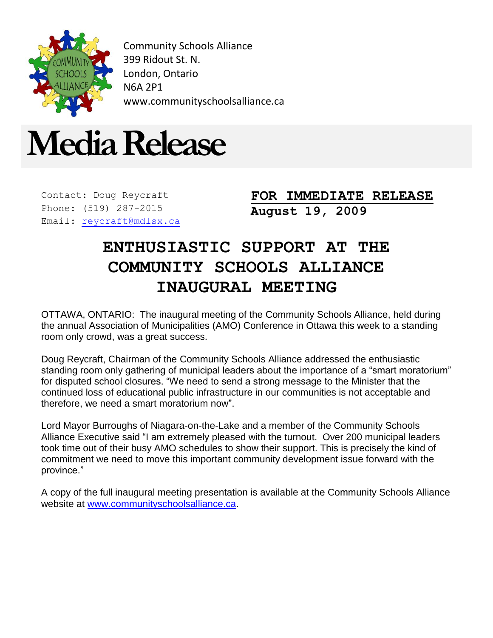

Community Schools Alliance 399 Ridout St. N. London, Ontario N6A 2P1 www.communityschoolsalliance.ca



Contact: Doug Reycraft Phone: (519) 287-2015 Email: [reycraft@mdlsx.ca](mailto:reycraft@mdlsx.ca)

**FOR IMMEDIATE RELEASE August 19, 2009**

## **ENTHUSIASTIC SUPPORT AT THE COMMUNITY SCHOOLS ALLIANCE INAUGURAL MEETING**

OTTAWA, ONTARIO: The inaugural meeting of the Community Schools Alliance, held during the annual Association of Municipalities (AMO) Conference in Ottawa this week to a standing room only crowd, was a great success.

Doug Reycraft, Chairman of the Community Schools Alliance addressed the enthusiastic standing room only gathering of municipal leaders about the importance of a "smart moratorium" for disputed school closures. "We need to send a strong message to the Minister that the continued loss of educational public infrastructure in our communities is not acceptable and therefore, we need a smart moratorium now".

Lord Mayor Burroughs of Niagara-on-the-Lake and a member of the Community Schools Alliance Executive said "I am extremely pleased with the turnout. Over 200 municipal leaders took time out of their busy AMO schedules to show their support. This is precisely the kind of commitment we need to move this important community development issue forward with the province."

A copy of the full inaugural meeting presentation is available at the Community Schools Alliance website at [www.communityschoolsalliance.ca.](http://www.communityschoolsalliance.ca/)